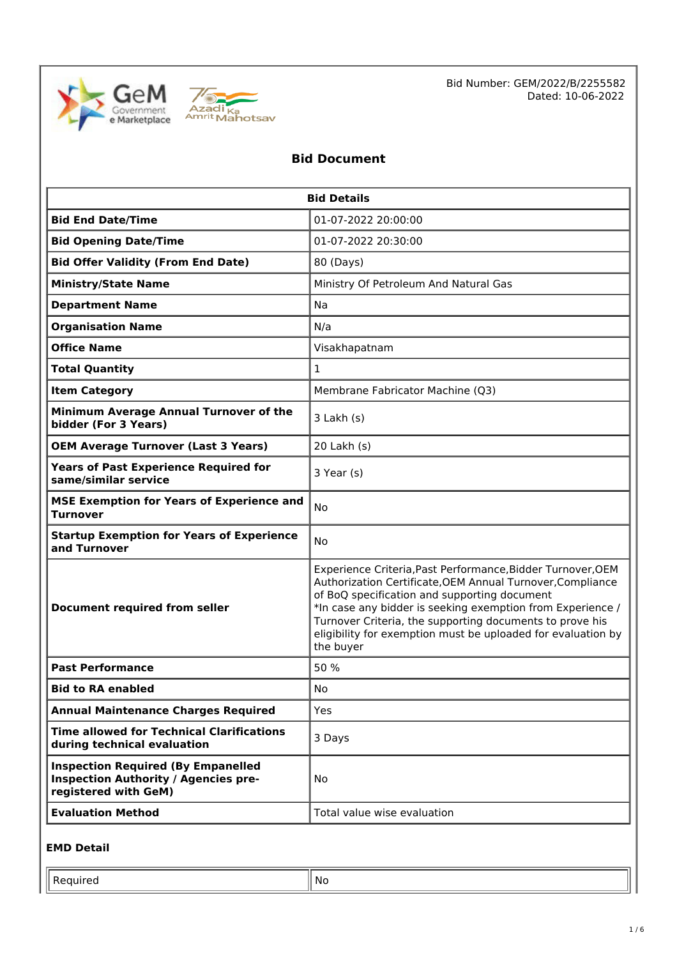



Bid Number: GEM/2022/B/2255582 Dated: 10-06-2022

# **Bid Document**

| <b>Bid Details</b>                                                                                               |                                                                                                                                                                                                                                                                                                                                                                                  |  |  |
|------------------------------------------------------------------------------------------------------------------|----------------------------------------------------------------------------------------------------------------------------------------------------------------------------------------------------------------------------------------------------------------------------------------------------------------------------------------------------------------------------------|--|--|
| <b>Bid End Date/Time</b>                                                                                         | 01-07-2022 20:00:00                                                                                                                                                                                                                                                                                                                                                              |  |  |
| <b>Bid Opening Date/Time</b>                                                                                     | 01-07-2022 20:30:00                                                                                                                                                                                                                                                                                                                                                              |  |  |
| <b>Bid Offer Validity (From End Date)</b>                                                                        | 80 (Days)                                                                                                                                                                                                                                                                                                                                                                        |  |  |
| <b>Ministry/State Name</b>                                                                                       | Ministry Of Petroleum And Natural Gas                                                                                                                                                                                                                                                                                                                                            |  |  |
| <b>Department Name</b>                                                                                           | Na                                                                                                                                                                                                                                                                                                                                                                               |  |  |
| <b>Organisation Name</b>                                                                                         | N/a                                                                                                                                                                                                                                                                                                                                                                              |  |  |
| <b>Office Name</b>                                                                                               | Visakhapatnam                                                                                                                                                                                                                                                                                                                                                                    |  |  |
| <b>Total Quantity</b>                                                                                            | $\mathbf{1}$                                                                                                                                                                                                                                                                                                                                                                     |  |  |
| <b>Item Category</b>                                                                                             | Membrane Fabricator Machine (Q3)                                                                                                                                                                                                                                                                                                                                                 |  |  |
| Minimum Average Annual Turnover of the<br>bidder (For 3 Years)                                                   | $3$ Lakh $(s)$                                                                                                                                                                                                                                                                                                                                                                   |  |  |
| <b>OEM Average Turnover (Last 3 Years)</b>                                                                       | 20 Lakh (s)                                                                                                                                                                                                                                                                                                                                                                      |  |  |
| <b>Years of Past Experience Required for</b><br>same/similar service                                             | 3 Year (s)                                                                                                                                                                                                                                                                                                                                                                       |  |  |
| <b>MSE Exemption for Years of Experience and</b><br><b>Turnover</b>                                              | No                                                                                                                                                                                                                                                                                                                                                                               |  |  |
| <b>Startup Exemption for Years of Experience</b><br>and Turnover                                                 | No                                                                                                                                                                                                                                                                                                                                                                               |  |  |
| <b>Document required from seller</b>                                                                             | Experience Criteria, Past Performance, Bidder Turnover, OEM<br>Authorization Certificate, OEM Annual Turnover, Compliance<br>of BoQ specification and supporting document<br>*In case any bidder is seeking exemption from Experience /<br>Turnover Criteria, the supporting documents to prove his<br>eligibility for exemption must be uploaded for evaluation by<br>the buyer |  |  |
| <b>Past Performance</b>                                                                                          | 50 %                                                                                                                                                                                                                                                                                                                                                                             |  |  |
| <b>Bid to RA enabled</b>                                                                                         | No                                                                                                                                                                                                                                                                                                                                                                               |  |  |
| <b>Annual Maintenance Charges Required</b>                                                                       | Yes                                                                                                                                                                                                                                                                                                                                                                              |  |  |
| <b>Time allowed for Technical Clarifications</b><br>during technical evaluation                                  | 3 Days                                                                                                                                                                                                                                                                                                                                                                           |  |  |
| <b>Inspection Required (By Empanelled</b><br><b>Inspection Authority / Agencies pre-</b><br>registered with GeM) | No.                                                                                                                                                                                                                                                                                                                                                                              |  |  |
| <b>Evaluation Method</b>                                                                                         | Total value wise evaluation                                                                                                                                                                                                                                                                                                                                                      |  |  |

#### **EMD Detail**

Required  $\|\mathsf{No}\|$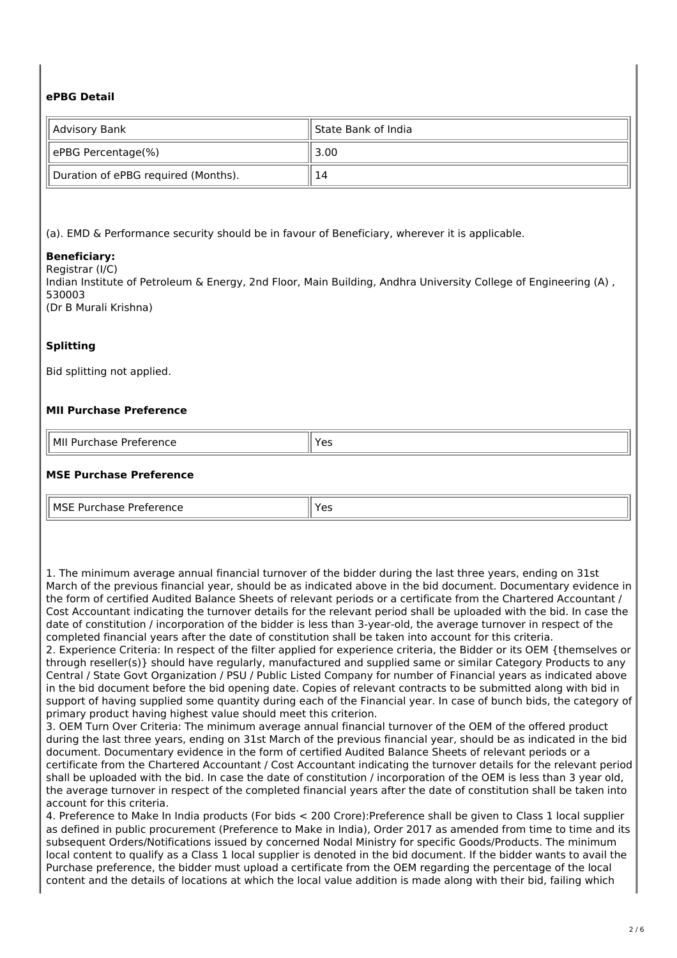# **ePBG Detail**

| Advisory Bank                       | State Bank of India |
|-------------------------------------|---------------------|
| ePBG Percentage(%)                  | 3.00                |
| Duration of ePBG required (Months). | ۱4                  |

(a). EMD & Performance security should be in favour of Beneficiary, wherever it is applicable.

#### **Beneficiary:**

Registrar (I/C)

Indian Institute of Petroleum & Energy, 2nd Floor, Main Building, Andhra University College of Engineering (A) , 530003 (Dr B Murali Krishna)

#### **Splitting**

Bid splitting not applied.

#### **MII Purchase Preference**

| il Mil<br>$- - - - - - -$<br>.<br>יו וכן<br>.<br>ז וי<br>-----<br>. | --<br>$ -$ |
|---------------------------------------------------------------------|------------|

#### **MSE Purchase Preference**

| ll MSF Pi<br>D. <del>.</del><br>---<br>Preference<br>.<br>- 11458<br>. | $\sim$<br>ີ |
|------------------------------------------------------------------------|-------------|

1. The minimum average annual financial turnover of the bidder during the last three years, ending on 31st March of the previous financial year, should be as indicated above in the bid document. Documentary evidence in the form of certified Audited Balance Sheets of relevant periods or a certificate from the Chartered Accountant / Cost Accountant indicating the turnover details for the relevant period shall be uploaded with the bid. In case the date of constitution / incorporation of the bidder is less than 3-year-old, the average turnover in respect of the completed financial years after the date of constitution shall be taken into account for this criteria.

2. Experience Criteria: In respect of the filter applied for experience criteria, the Bidder or its OEM {themselves or through reseller(s)} should have regularly, manufactured and supplied same or similar Category Products to any Central / State Govt Organization / PSU / Public Listed Company for number of Financial years as indicated above in the bid document before the bid opening date. Copies of relevant contracts to be submitted along with bid in support of having supplied some quantity during each of the Financial year. In case of bunch bids, the category of primary product having highest value should meet this criterion.

3. OEM Turn Over Criteria: The minimum average annual financial turnover of the OEM of the offered product during the last three years, ending on 31st March of the previous financial year, should be as indicated in the bid document. Documentary evidence in the form of certified Audited Balance Sheets of relevant periods or a certificate from the Chartered Accountant / Cost Accountant indicating the turnover details for the relevant period shall be uploaded with the bid. In case the date of constitution / incorporation of the OEM is less than 3 year old, the average turnover in respect of the completed financial years after the date of constitution shall be taken into account for this criteria.

4. Preference to Make In India products (For bids < 200 Crore):Preference shall be given to Class 1 local supplier as defined in public procurement (Preference to Make in India), Order 2017 as amended from time to time and its subsequent Orders/Notifications issued by concerned Nodal Ministry for specific Goods/Products. The minimum local content to qualify as a Class 1 local supplier is denoted in the bid document. If the bidder wants to avail the Purchase preference, the bidder must upload a certificate from the OEM regarding the percentage of the local content and the details of locations at which the local value addition is made along with their bid, failing which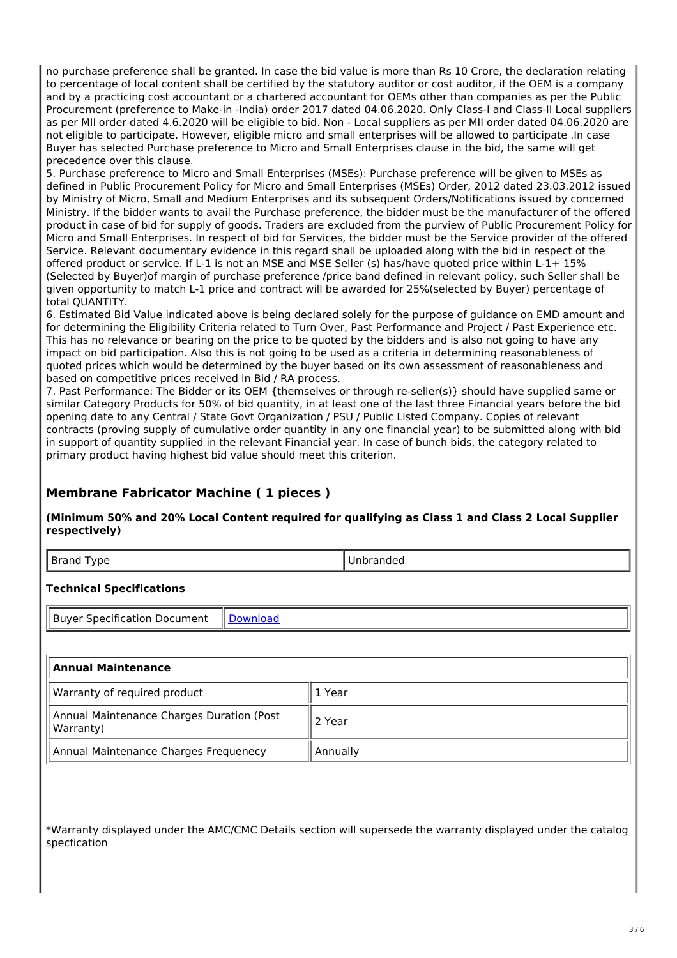no purchase preference shall be granted. In case the bid value is more than Rs 10 Crore, the declaration relating to percentage of local content shall be certified by the statutory auditor or cost auditor, if the OEM is a company and by a practicing cost accountant or a chartered accountant for OEMs other than companies as per the Public Procurement (preference to Make-in -India) order 2017 dated 04.06.2020. Only Class-I and Class-II Local suppliers as per MII order dated 4.6.2020 will be eligible to bid. Non - Local suppliers as per MII order dated 04.06.2020 are not eligible to participate. However, eligible micro and small enterprises will be allowed to participate .In case Buyer has selected Purchase preference to Micro and Small Enterprises clause in the bid, the same will get precedence over this clause.

5. Purchase preference to Micro and Small Enterprises (MSEs): Purchase preference will be given to MSEs as defined in Public Procurement Policy for Micro and Small Enterprises (MSEs) Order, 2012 dated 23.03.2012 issued by Ministry of Micro, Small and Medium Enterprises and its subsequent Orders/Notifications issued by concerned Ministry. If the bidder wants to avail the Purchase preference, the bidder must be the manufacturer of the offered product in case of bid for supply of goods. Traders are excluded from the purview of Public Procurement Policy for Micro and Small Enterprises. In respect of bid for Services, the bidder must be the Service provider of the offered Service. Relevant documentary evidence in this regard shall be uploaded along with the bid in respect of the offered product or service. If L-1 is not an MSE and MSE Seller (s) has/have quoted price within L-1+ 15% (Selected by Buyer)of margin of purchase preference /price band defined in relevant policy, such Seller shall be given opportunity to match L-1 price and contract will be awarded for 25%(selected by Buyer) percentage of total QUANTITY.

6. Estimated Bid Value indicated above is being declared solely for the purpose of guidance on EMD amount and for determining the Eligibility Criteria related to Turn Over, Past Performance and Project / Past Experience etc. This has no relevance or bearing on the price to be quoted by the bidders and is also not going to have any impact on bid participation. Also this is not going to be used as a criteria in determining reasonableness of quoted prices which would be determined by the buyer based on its own assessment of reasonableness and based on competitive prices received in Bid / RA process.

7. Past Performance: The Bidder or its OEM {themselves or through re-seller(s)} should have supplied same or similar Category Products for 50% of bid quantity, in at least one of the last three Financial years before the bid opening date to any Central / State Govt Organization / PSU / Public Listed Company. Copies of relevant contracts (proving supply of cumulative order quantity in any one financial year) to be submitted along with bid in support of quantity supplied in the relevant Financial year. In case of bunch bids, the category related to primary product having highest bid value should meet this criterion.

# **Membrane Fabricator Machine ( 1 pieces )**

**(Minimum 50% and 20% Local Content required for qualifying as Class 1 and Class 2 Local Supplier respectively)**

| ype.<br><b>PIGIIG</b> | ucu |
|-----------------------|-----|
|                       |     |

#### **Technical Specifications**

Buyer Specification Document | [Download](https://mkp.gem.gov.in/catalog_data/catalog_support_document/buyer_documents/1841546/54/78/703/CatalogAttrs/SpecificationDocument/2022/6/7/membrance-facbricator-machine_2022-06-07-18-48-26_6e76470ee4cc58c91786084c5fb28af5.pdf)

| <b>Annual Maintenance</b>                                |          |
|----------------------------------------------------------|----------|
| Warranty of required product                             | . ⊥ Year |
| Annual Maintenance Charges Duration (Post<br>  Warranty) | 2 Year   |
| Annual Maintenance Charges Frequenecy                    | Annually |

\*Warranty displayed under the AMC/CMC Details section will supersede the warranty displayed under the catalog specfication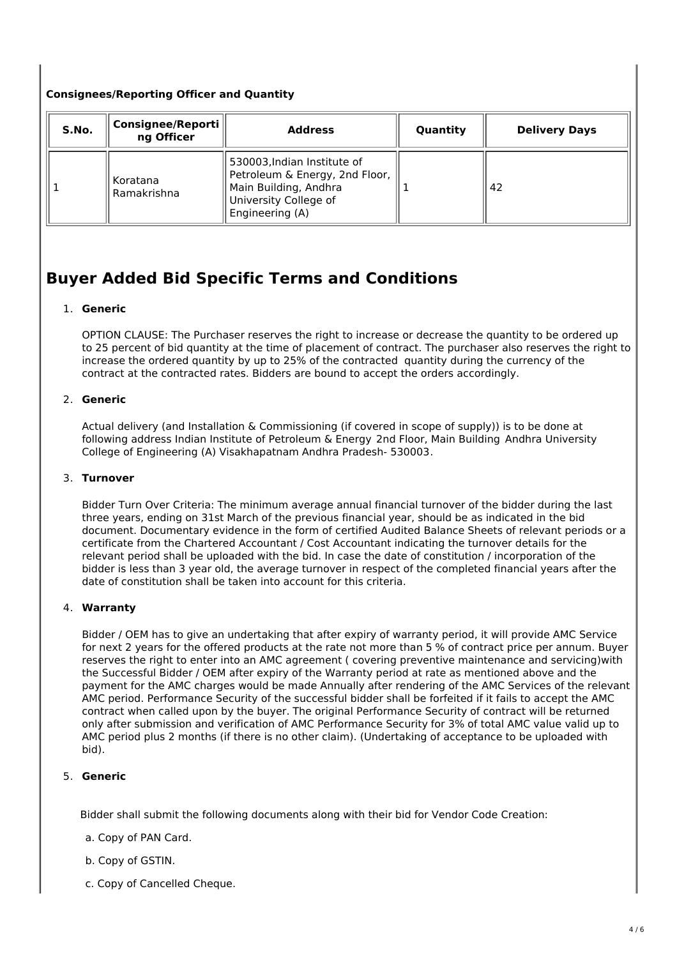# **Consignees/Reporting Officer and Quantity**

| S.No. | Consignee/Reporti   <br>ng Officer | <b>Address</b>                                                                                                                     | Quantity | <b>Delivery Days</b> |
|-------|------------------------------------|------------------------------------------------------------------------------------------------------------------------------------|----------|----------------------|
|       | Koratana<br>Ramakrishna            | 530003, Indian Institute of<br>Petroleum & Energy, 2nd Floor,<br>Main Building, Andhra<br>University College of<br>Engineering (A) |          | 42                   |

# **Buyer Added Bid Specific Terms and Conditions**

#### 1. **Generic**

OPTION CLAUSE: The Purchaser reserves the right to increase or decrease the quantity to be ordered up to 25 percent of bid quantity at the time of placement of contract. The purchaser also reserves the right to increase the ordered quantity by up to 25% of the contracted quantity during the currency of the contract at the contracted rates. Bidders are bound to accept the orders accordingly.

### 2. **Generic**

Actual delivery (and Installation & Commissioning (if covered in scope of supply)) is to be done at following address Indian Institute of Petroleum & Energy 2nd Floor, Main Building Andhra University College of Engineering (A) Visakhapatnam Andhra Pradesh- 530003.

#### 3. **Turnover**

Bidder Turn Over Criteria: The minimum average annual financial turnover of the bidder during the last three years, ending on 31st March of the previous financial year, should be as indicated in the bid document. Documentary evidence in the form of certified Audited Balance Sheets of relevant periods or a certificate from the Chartered Accountant / Cost Accountant indicating the turnover details for the relevant period shall be uploaded with the bid. In case the date of constitution / incorporation of the bidder is less than 3 year old, the average turnover in respect of the completed financial years after the date of constitution shall be taken into account for this criteria.

#### 4. **Warranty**

Bidder / OEM has to give an undertaking that after expiry of warranty period, it will provide AMC Service for next 2 years for the offered products at the rate not more than 5 % of contract price per annum. Buyer reserves the right to enter into an AMC agreement ( covering preventive maintenance and servicing)with the Successful Bidder / OEM after expiry of the Warranty period at rate as mentioned above and the payment for the AMC charges would be made Annually after rendering of the AMC Services of the relevant AMC period. Performance Security of the successful bidder shall be forfeited if it fails to accept the AMC contract when called upon by the buyer. The original Performance Security of contract will be returned only after submission and verification of AMC Performance Security for 3% of total AMC value valid up to AMC period plus 2 months (if there is no other claim). (Undertaking of acceptance to be uploaded with bid).

# 5. **Generic**

Bidder shall submit the following documents along with their bid for Vendor Code Creation:

- a. Copy of PAN Card.
- b. Copy of GSTIN.
- c. Copy of Cancelled Cheque.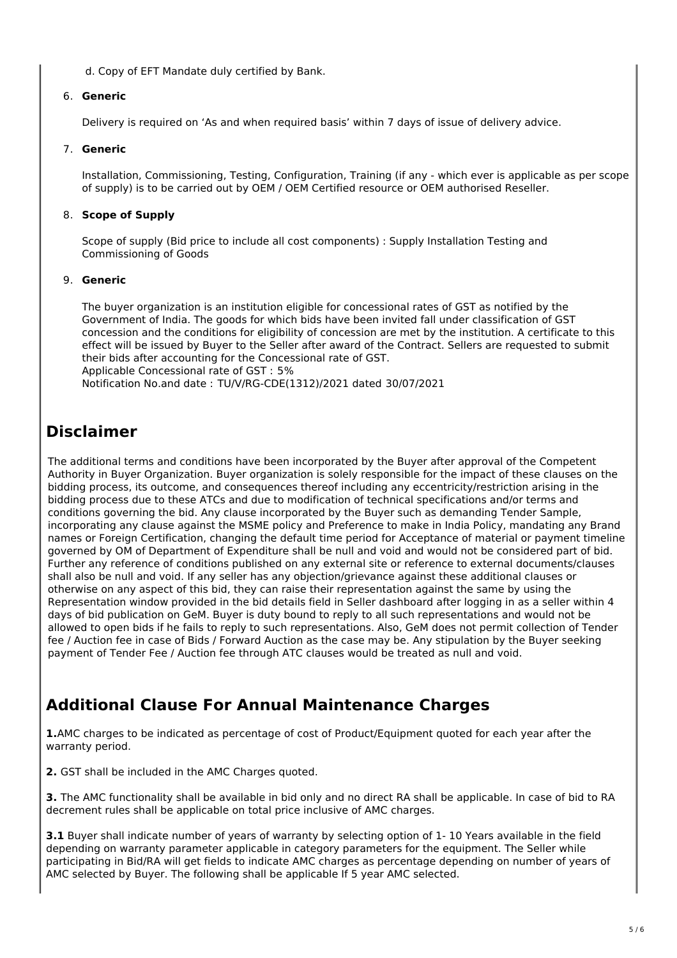d. Copy of EFT Mandate duly certified by Bank.

#### 6. **Generic**

Delivery is required on 'As and when required basis' within 7 days of issue of delivery advice.

#### 7. **Generic**

Installation, Commissioning, Testing, Configuration, Training (if any - which ever is applicable as per scope of supply) is to be carried out by OEM / OEM Certified resource or OEM authorised Reseller.

### 8. **Scope of Supply**

Scope of supply (Bid price to include all cost components) : Supply Installation Testing and Commissioning of Goods

#### 9. **Generic**

The buyer organization is an institution eligible for concessional rates of GST as notified by the Government of India. The goods for which bids have been invited fall under classification of GST concession and the conditions for eligibility of concession are met by the institution. A certificate to this effect will be issued by Buyer to the Seller after award of the Contract. Sellers are requested to submit their bids after accounting for the Concessional rate of GST. Applicable Concessional rate of GST : 5% Notification No.and date : TU/V/RG-CDE(1312)/2021 dated 30/07/2021

# **Disclaimer**

The additional terms and conditions have been incorporated by the Buyer after approval of the Competent Authority in Buyer Organization. Buyer organization is solely responsible for the impact of these clauses on the bidding process, its outcome, and consequences thereof including any eccentricity/restriction arising in the bidding process due to these ATCs and due to modification of technical specifications and/or terms and conditions governing the bid. Any clause incorporated by the Buyer such as demanding Tender Sample, incorporating any clause against the MSME policy and Preference to make in India Policy, mandating any Brand names or Foreign Certification, changing the default time period for Acceptance of material or payment timeline governed by OM of Department of Expenditure shall be null and void and would not be considered part of bid. Further any reference of conditions published on any external site or reference to external documents/clauses shall also be null and void. If any seller has any objection/grievance against these additional clauses or otherwise on any aspect of this bid, they can raise their representation against the same by using the Representation window provided in the bid details field in Seller dashboard after logging in as a seller within 4 days of bid publication on GeM. Buyer is duty bound to reply to all such representations and would not be allowed to open bids if he fails to reply to such representations. Also, GeM does not permit collection of Tender fee / Auction fee in case of Bids / Forward Auction as the case may be. Any stipulation by the Buyer seeking payment of Tender Fee / Auction fee through ATC clauses would be treated as null and void.

# **Additional Clause For Annual Maintenance Charges**

**1.**AMC charges to be indicated as percentage of cost of Product/Equipment quoted for each year after the warranty period.

**2.** GST shall be included in the AMC Charges quoted.

**3.** The AMC functionality shall be available in bid only and no direct RA shall be applicable. In case of bid to RA decrement rules shall be applicable on total price inclusive of AMC charges.

**3.1** Buyer shall indicate number of years of warranty by selecting option of 1- 10 Years available in the field depending on warranty parameter applicable in category parameters for the equipment. The Seller while participating in Bid/RA will get fields to indicate AMC charges as percentage depending on number of years of AMC selected by Buyer. The following shall be applicable If 5 year AMC selected.